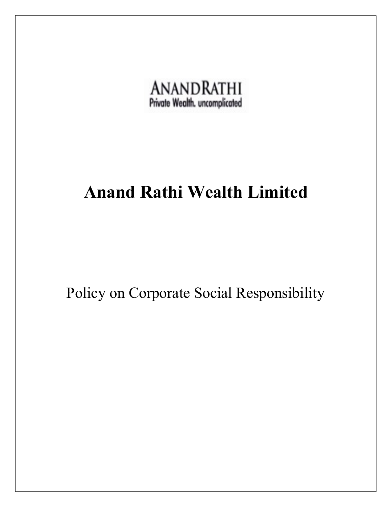

# Anand Rathi Wealth Limited

Policy on Corporate Social Responsibility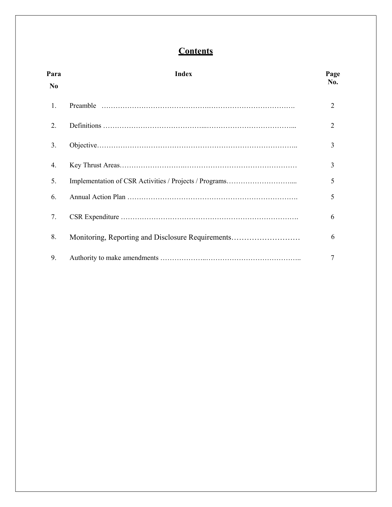# **Contents**

| Para<br>N <sub>0</sub> | <b>Index</b>                                      | Page<br>No.    |
|------------------------|---------------------------------------------------|----------------|
| 1.                     |                                                   | $\overline{2}$ |
| 2.                     |                                                   | 2              |
| 3.                     |                                                   | 3              |
| 4.                     |                                                   | 3              |
| 5.                     |                                                   | 5              |
| 6.                     |                                                   | 5              |
| 7.                     |                                                   | 6              |
| 8.                     | Monitoring, Reporting and Disclosure Requirements | 6              |
| 9.                     |                                                   | 7              |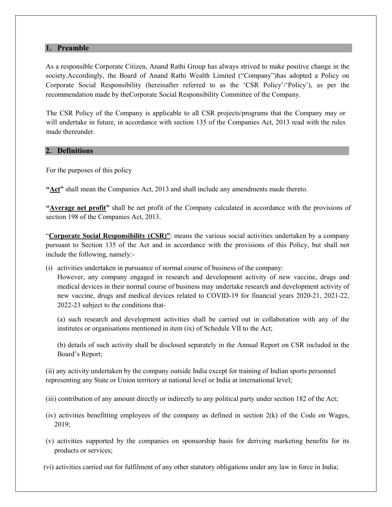#### 1. Preamble

As a responsible Corporate Citizen, Anand Rathi Group has always strived to make positive change in the society.Accordingly, the Board of Anand Rathi Wealth Limited ("Company")has adopted a Policy on Corporate Social Responsibility (hereinafter referred to as the 'CSR Policy'/'Policy'), as per the recommendation made by theCorporate Social Responsibility Committee of the Company.

The CSR Policy of the Company is applicable to all CSR projects/programs that the Company may or will undertake in future, in accordance with section 135 of the Companies Act, 2013 read with the rules made thereunder.

#### 2. Definitions

For the purposes of this policy

"Act" shall mean the Companies Act, 2013 and shall include any amendments made thereto.

"Average net profit" shall be net profit of the Company calculated in accordance with the provisions of section 198 of the Companies Act, 2013.

"Corporate Social Responsibility (CSR)": means the various social activities undertaken by a company pursuant to Section 135 of the Act and in accordance with the provisions of this Policy, but shall not include the following, namely:-

(i) activities undertaken in pursuance of normal course of business of the company:

However, any company engaged in research and development activity of new vaccine, drugs and medical devices in their normal course of business may undertake research and development activity of new vaccine, drugs and medical devices related to COVID-19 for financial years 2020-21, 2021-22, 2022-23 subject to the conditions that-

(a) such research and development activities shall be carried out in collaboration with any of the institutes or organisations mentioned in item (ix) of Schedule VII to the Act;

(b) details of such activity shall be disclosed separately in the Annual Report on CSR included in the Board's Report;

(ii) any activity undertaken by the company outside India except for training of Indian sports personnel representing any State or Union territory at national level or India at international level;

- (iii) contribution of any amount directly or indirectly to any political party under section 182 of the Act;
- (iv) activities benefitting employees of the company as defined in section 2(k) of the Code on Wages, 2019;
- (v) activities supported by the companies on sponsorship basis for deriving marketing benefits for its products or services;
- (vi) activities carried out for fulfilment of any other statutory obligations under any law in force in India;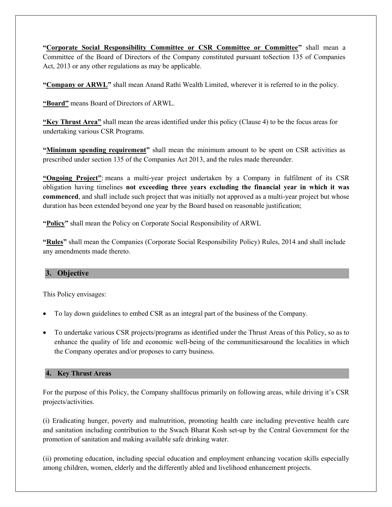"Corporate Social Responsibility Committee or CSR Committee or Committee" shall mean a Committee of the Board of Directors of the Company constituted pursuant toSection 135 of Companies Act, 2013 or any other regulations as may be applicable.

"Company or ARWL" shall mean Anand Rathi Wealth Limited, wherever it is referred to in the policy.

"Board" means Board of Directors of ARWL.

"Key Thrust Area" shall mean the areas identified under this policy (Clause 4) to be the focus areas for undertaking various CSR Programs.

"Minimum spending requirement" shall mean the minimum amount to be spent on CSR activities as prescribed under section 135 of the Companies Act 2013, and the rules made thereunder.

"Ongoing Project": means a multi-year project undertaken by a Company in fulfilment of its CSR obligation having timelines not exceeding three years excluding the financial year in which it was commenced, and shall include such project that was initially not approved as a multi-year project but whose duration has been extended beyond one year by the Board based on reasonable justification;

"Policy" shall mean the Policy on Corporate Social Responsibility of ARWL

"Rules" shall mean the Companies (Corporate Social Responsibility Policy) Rules, 2014 and shall include any amendments made thereto.

## 3. Objective

This Policy envisages:

- To lay down guidelines to embed CSR as an integral part of the business of the Company.
- To undertake various CSR projects/programs as identified under the Thrust Areas of this Policy, so as to enhance the quality of life and economic well-being of the communitiesaround the localities in which the Company operates and/or proposes to carry business.

#### 4. Key Thrust Areas

For the purpose of this Policy, the Company shallfocus primarily on following areas, while driving it's CSR projects/activities.

(i) Eradicating hunger, poverty and malnutrition, promoting health care including preventive health care and sanitation including contribution to the Swach Bharat Kosh set-up by the Central Government for the promotion of sanitation and making available safe drinking water.

(ii) promoting education, including special education and employment enhancing vocation skills especially among children, women, elderly and the differently abled and livelihood enhancement projects.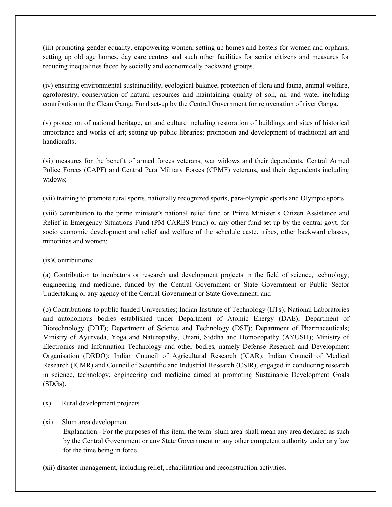(iii) promoting gender equality, empowering women, setting up homes and hostels for women and orphans; setting up old age homes, day care centres and such other facilities for senior citizens and measures for reducing inequalities faced by socially and economically backward groups.

(iv) ensuring environmental sustainability, ecological balance, protection of flora and fauna, animal welfare, agroforestry, conservation of natural resources and maintaining quality of soil, air and water including contribution to the Clean Ganga Fund set-up by the Central Government for rejuvenation of river Ganga.

(v) protection of national heritage, art and culture including restoration of buildings and sites of historical importance and works of art; setting up public libraries; promotion and development of traditional art and handicrafts;

(vi) measures for the benefit of armed forces veterans, war widows and their dependents, Central Armed Police Forces (CAPF) and Central Para Military Forces (CPMF) veterans, and their dependents including widows;

(vii) training to promote rural sports, nationally recognized sports, para-olympic sports and Olympic sports

(viii) contribution to the prime minister's national relief fund or Prime Minister's Citizen Assistance and Relief in Emergency Situations Fund (PM CARES Fund) or any other fund set up by the central govt. for socio economic development and relief and welfare of the schedule caste, tribes, other backward classes, minorities and women;

(ix)Contributions:

(a) Contribution to incubators or research and development projects in the field of science, technology, engineering and medicine, funded by the Central Government or State Government or Public Sector Undertaking or any agency of the Central Government or State Government; and

(b) Contributions to public funded Universities; Indian Institute of Technology (IITs); National Laboratories and autonomous bodies established under Department of Atomic Energy (DAE); Department of Biotechnology (DBT); Department of Science and Technology (DST); Department of Pharmaceuticals; Ministry of Ayurveda, Yoga and Naturopathy, Unani, Siddha and Homoeopathy (AYUSH); Ministry of Electronics and Information Technology and other bodies, namely Defense Research and Development Organisation (DRDO); Indian Council of Agricultural Research (ICAR); Indian Council of Medical Research (ICMR) and Council of Scientific and Industrial Research (CSIR), engaged in conducting research in science, technology, engineering and medicine aimed at promoting Sustainable Development Goals (SDGs).

- (x) Rural development projects
- (xi) Slum area development.

Explanation.- For the purposes of this item, the term `slum area' shall mean any area declared as such by the Central Government or any State Government or any other competent authority under any law for the time being in force.

(xii) disaster management, including relief, rehabilitation and reconstruction activities.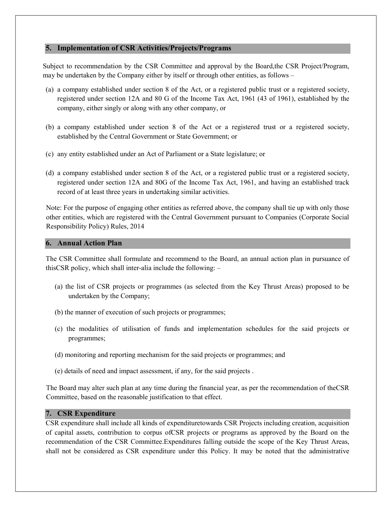#### 5. Implementation of CSR Activities/Projects/Programs

Subject to recommendation by the CSR Committee and approval by the Board,the CSR Project/Program, may be undertaken by the Company either by itself or through other entities, as follows –

- (a) a company established under section 8 of the Act, or a registered public trust or a registered society, registered under section 12A and 80 G of the Income Tax Act, 1961 (43 of 1961), established by the company, either singly or along with any other company, or
- (b) a company established under section 8 of the Act or a registered trust or a registered society, established by the Central Government or State Government; or
- (c) any entity established under an Act of Parliament or a State legislature; or
- (d) a company established under section 8 of the Act, or a registered public trust or a registered society, registered under section 12A and 80G of the Income Tax Act, 1961, and having an established track record of at least three years in undertaking similar activities.

Note: For the purpose of engaging other entities as referred above, the company shall tie up with only those other entities, which are registered with the Central Government pursuant to Companies (Corporate Social Responsibility Policy) Rules, 2014

#### 6. Annual Action Plan

The CSR Committee shall formulate and recommend to the Board, an annual action plan in pursuance of thisCSR policy, which shall inter-alia include the following: –

- (a) the list of CSR projects or programmes (as selected from the Key Thrust Areas) proposed to be undertaken by the Company;
- (b) the manner of execution of such projects or programmes;
- (c) the modalities of utilisation of funds and implementation schedules for the said projects or programmes;
- (d) monitoring and reporting mechanism for the said projects or programmes; and
- (e) details of need and impact assessment, if any, for the said projects .

The Board may alter such plan at any time during the financial year, as per the recommendation of theCSR Committee, based on the reasonable justification to that effect.

### 7. CSR Expenditure

CSR expenditure shall include all kinds of expendituretowards CSR Projects including creation, acquisition of capital assets, contribution to corpus ofCSR projects or programs as approved by the Board on the recommendation of the CSR Committee.Expenditures falling outside the scope of the Key Thrust Areas, shall not be considered as CSR expenditure under this Policy. It may be noted that the administrative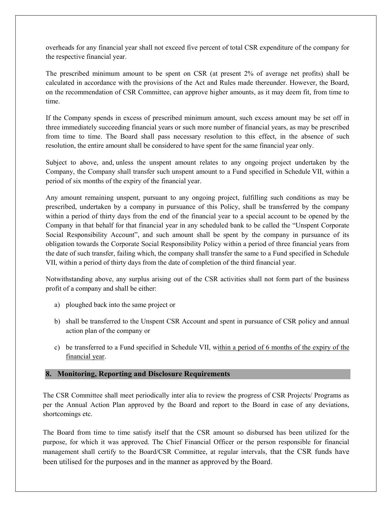overheads for any financial year shall not exceed five percent of total CSR expenditure of the company for the respective financial year.

The prescribed minimum amount to be spent on CSR (at present 2% of average net profits) shall be calculated in accordance with the provisions of the Act and Rules made thereunder. However, the Board, on the recommendation of CSR Committee, can approve higher amounts, as it may deem fit, from time to time.

If the Company spends in excess of prescribed minimum amount, such excess amount may be set off in three immediately succeeding financial years or such more number of financial years, as may be prescribed from time to time. The Board shall pass necessary resolution to this effect, in the absence of such resolution, the entire amount shall be considered to have spent for the same financial year only.

Subject to above, and, unless the unspent amount relates to any ongoing project undertaken by the Company, the Company shall transfer such unspent amount to a Fund specified in Schedule VII, within a period of six months of the expiry of the financial year.

Any amount remaining unspent, pursuant to any ongoing project, fulfilling such conditions as may be prescribed, undertaken by a company in pursuance of this Policy, shall be transferred by the company within a period of thirty days from the end of the financial year to a special account to be opened by the Company in that behalf for that financial year in any scheduled bank to be called the "Unspent Corporate Social Responsibility Account", and such amount shall be spent by the company in pursuance of its obligation towards the Corporate Social Responsibility Policy within a period of three financial years from the date of such transfer, failing which, the company shall transfer the same to a Fund specified in Schedule VII, within a period of thirty days from the date of completion of the third financial year.

Notwithstanding above, any surplus arising out of the CSR activities shall not form part of the business profit of a company and shall be either:

- a) ploughed back into the same project or
- b) shall be transferred to the Unspent CSR Account and spent in pursuance of CSR policy and annual action plan of the company or
- c) be transferred to a Fund specified in Schedule VII, within a period of 6 months of the expiry of the financial year.

#### 8. Monitoring, Reporting and Disclosure Requirements

The CSR Committee shall meet periodically inter alia to review the progress of CSR Projects/ Programs as per the Annual Action Plan approved by the Board and report to the Board in case of any deviations, shortcomings etc.

The Board from time to time satisfy itself that the CSR amount so disbursed has been utilized for the purpose, for which it was approved. The Chief Financial Officer or the person responsible for financial management shall certify to the Board/CSR Committee, at regular intervals, that the CSR funds have been utilised for the purposes and in the manner as approved by the Board.